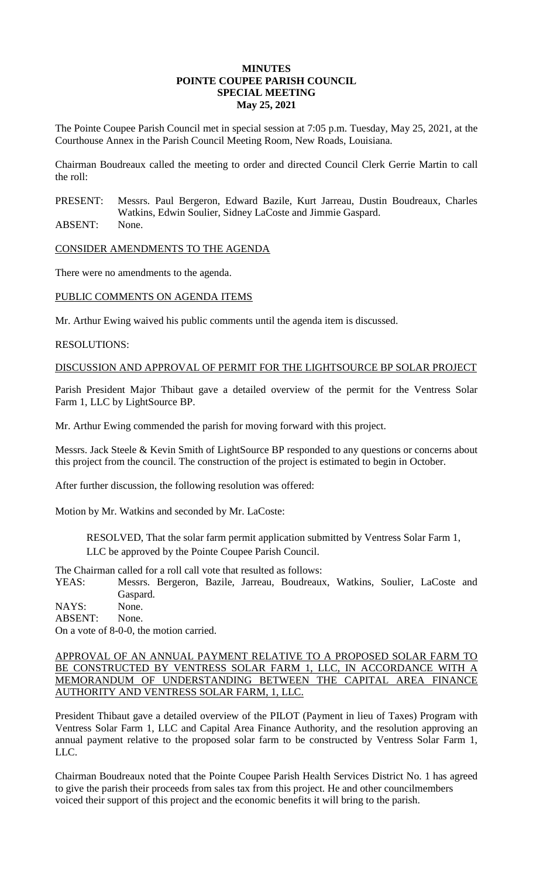## **MINUTES POINTE COUPEE PARISH COUNCIL SPECIAL MEETING May 25, 2021**

The Pointe Coupee Parish Council met in special session at 7:05 p.m. Tuesday, May 25, 2021, at the Courthouse Annex in the Parish Council Meeting Room, New Roads, Louisiana.

Chairman Boudreaux called the meeting to order and directed Council Clerk Gerrie Martin to call the roll:

PRESENT: Messrs. Paul Bergeron, Edward Bazile, Kurt Jarreau, Dustin Boudreaux, Charles Watkins, Edwin Soulier, Sidney LaCoste and Jimmie Gaspard.

ABSENT: None.

CONSIDER AMENDMENTS TO THE AGENDA

There were no amendments to the agenda.

## PUBLIC COMMENTS ON AGENDA ITEMS

Mr. Arthur Ewing waived his public comments until the agenda item is discussed.

## RESOLUTIONS:

DISCUSSION AND APPROVAL OF PERMIT FOR THE LIGHTSOURCE BP SOLAR PROJECT

Parish President Major Thibaut gave a detailed overview of the permit for the Ventress Solar Farm 1, LLC by LightSource BP.

Mr. Arthur Ewing commended the parish for moving forward with this project.

Messrs. Jack Steele & Kevin Smith of LightSource BP responded to any questions or concerns about this project from the council. The construction of the project is estimated to begin in October.

After further discussion, the following resolution was offered:

Motion by Mr. Watkins and seconded by Mr. LaCoste:

RESOLVED, That the solar farm permit application submitted by Ventress Solar Farm 1, LLC be approved by the Pointe Coupee Parish Council.

The Chairman called for a roll call vote that resulted as follows:

YEAS: Messrs. Bergeron, Bazile, Jarreau, Boudreaux, Watkins, Soulier, LaCoste and Gaspard.

NAYS: None.

ABSENT: None.

On a vote of 8-0-0, the motion carried.

APPROVAL OF AN ANNUAL PAYMENT RELATIVE TO A PROPOSED SOLAR FARM TO BE CONSTRUCTED BY VENTRESS SOLAR FARM 1, LLC, IN ACCORDANCE WITH A MEMORANDUM OF UNDERSTANDING BETWEEN THE CAPITAL AREA FINANCE AUTHORITY AND VENTRESS SOLAR FARM, 1, LLC.

President Thibaut gave a detailed overview of the PILOT (Payment in lieu of Taxes) Program with Ventress Solar Farm 1, LLC and Capital Area Finance Authority, and the resolution approving an annual payment relative to the proposed solar farm to be constructed by Ventress Solar Farm 1, LLC.

Chairman Boudreaux noted that the Pointe Coupee Parish Health Services District No. 1 has agreed to give the parish their proceeds from sales tax from this project. He and other councilmembers voiced their support of this project and the economic benefits it will bring to the parish.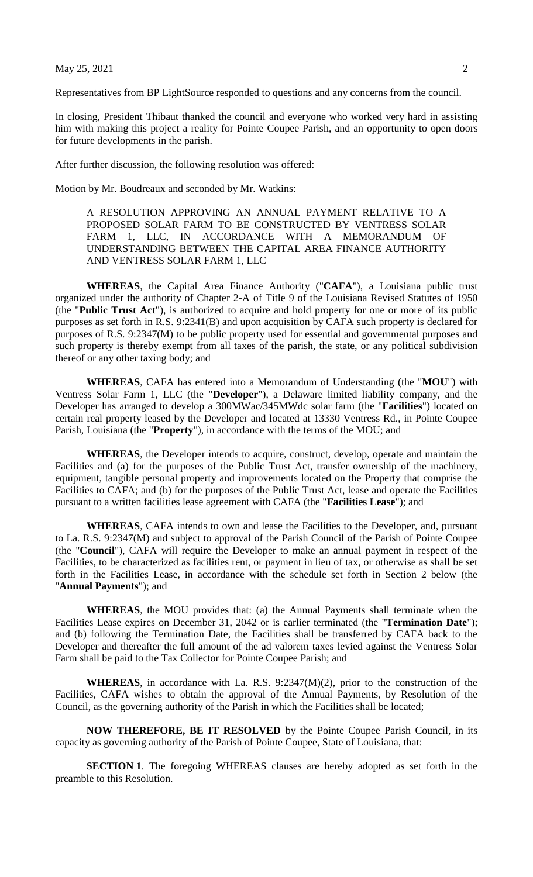## May 25, 2021 2

Representatives from BP LightSource responded to questions and any concerns from the council.

In closing, President Thibaut thanked the council and everyone who worked very hard in assisting him with making this project a reality for Pointe Coupee Parish, and an opportunity to open doors for future developments in the parish.

After further discussion, the following resolution was offered:

Motion by Mr. Boudreaux and seconded by Mr. Watkins:

A RESOLUTION APPROVING AN ANNUAL PAYMENT RELATIVE TO A PROPOSED SOLAR FARM TO BE CONSTRUCTED BY VENTRESS SOLAR FARM 1, LLC, IN ACCORDANCE WITH A MEMORANDUM OF UNDERSTANDING BETWEEN THE CAPITAL AREA FINANCE AUTHORITY AND VENTRESS SOLAR FARM 1, LLC

**WHEREAS**, the Capital Area Finance Authority ("**CAFA**"), a Louisiana public trust organized under the authority of Chapter 2-A of Title 9 of the Louisiana Revised Statutes of 1950 (the "**Public Trust Act**"), is authorized to acquire and hold property for one or more of its public purposes as set forth in R.S. 9:2341(B) and upon acquisition by CAFA such property is declared for purposes of R.S. 9:2347(M) to be public property used for essential and governmental purposes and such property is thereby exempt from all taxes of the parish, the state, or any political subdivision thereof or any other taxing body; and

**WHEREAS**, CAFA has entered into a Memorandum of Understanding (the "**MOU**") with Ventress Solar Farm 1, LLC (the "**Developer**"), a Delaware limited liability company, and the Developer has arranged to develop a 300MWac/345MWdc solar farm (the "**Facilities**") located on certain real property leased by the Developer and located at 13330 Ventress Rd., in Pointe Coupee Parish, Louisiana (the "**Property**"), in accordance with the terms of the MOU; and

**WHEREAS**, the Developer intends to acquire, construct, develop, operate and maintain the Facilities and (a) for the purposes of the Public Trust Act, transfer ownership of the machinery, equipment, tangible personal property and improvements located on the Property that comprise the Facilities to CAFA; and (b) for the purposes of the Public Trust Act, lease and operate the Facilities pursuant to a written facilities lease agreement with CAFA (the "**Facilities Lease**"); and

**WHEREAS**, CAFA intends to own and lease the Facilities to the Developer, and, pursuant to La. R.S. 9:2347(M) and subject to approval of the Parish Council of the Parish of Pointe Coupee (the "**Council**"), CAFA will require the Developer to make an annual payment in respect of the Facilities, to be characterized as facilities rent, or payment in lieu of tax, or otherwise as shall be set forth in the Facilities Lease, in accordance with the schedule set forth in Section 2 below (the "**Annual Payments**"); and

**WHEREAS**, the MOU provides that: (a) the Annual Payments shall terminate when the Facilities Lease expires on December 31, 2042 or is earlier terminated (the "**Termination Date**"); and (b) following the Termination Date, the Facilities shall be transferred by CAFA back to the Developer and thereafter the full amount of the ad valorem taxes levied against the Ventress Solar Farm shall be paid to the Tax Collector for Pointe Coupee Parish; and

**WHEREAS**, in accordance with La. R.S. 9:2347(M)(2), prior to the construction of the Facilities, CAFA wishes to obtain the approval of the Annual Payments, by Resolution of the Council, as the governing authority of the Parish in which the Facilities shall be located;

**NOW THEREFORE, BE IT RESOLVED** by the Pointe Coupee Parish Council, in its capacity as governing authority of the Parish of Pointe Coupee, State of Louisiana, that:

**SECTION 1**. The foregoing WHEREAS clauses are hereby adopted as set forth in the preamble to this Resolution.